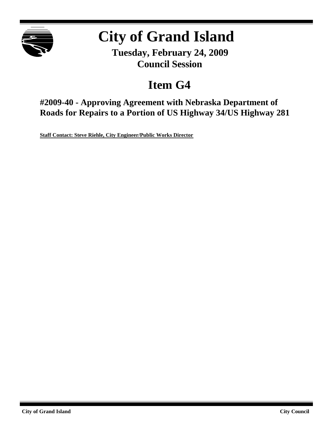

# **City of Grand Island**

**Tuesday, February 24, 2009 Council Session**

# **Item G4**

**#2009-40 - Approving Agreement with Nebraska Department of Roads for Repairs to a Portion of US Highway 34/US Highway 281**

**Staff Contact: Steve Riehle, City Engineer/Public Works Director**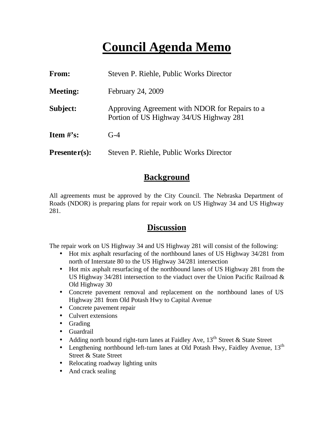# **Council Agenda Memo**

| From:                          | Steven P. Riehle, Public Works Director                                                   |
|--------------------------------|-------------------------------------------------------------------------------------------|
| <b>Meeting:</b>                | February 24, 2009                                                                         |
| Subject:                       | Approving Agreement with NDOR for Repairs to a<br>Portion of US Highway 34/US Highway 281 |
| <b>Item <math>\#</math>'s:</b> | $G-4$                                                                                     |
| $Presenter(s):$                | Steven P. Riehle, Public Works Director                                                   |

### **Background**

All agreements must be approved by the City Council. The Nebraska Department of Roads (NDOR) is preparing plans for repair work on US Highway 34 and US Highway 281.

### **Discussion**

The repair work on US Highway 34 and US Highway 281 will consist of the following:

- Hot mix asphalt resurfacing of the northbound lanes of US Highway 34/281 from north of Interstate 80 to the US Highway 34/281 intersection
- Hot mix asphalt resurfacing of the northbound lanes of US Highway 281 from the US Highway 34/281 intersection to the viaduct over the Union Pacific Railroad & Old Highway 30
- Concrete pavement removal and replacement on the northbound lanes of US Highway 281 from Old Potash Hwy to Capital Avenue
- Concrete pavement repair
- Culvert extensions
- Grading
- Guardrail
- Adding north bound right-turn lanes at Faidley Ave,  $13<sup>th</sup>$  Street & State Street
- Lengthening northbound left-turn lanes at Old Potash Hwy, Faidley Avenue,  $13<sup>th</sup>$ Street & State Street
- Relocating roadway lighting units
- And crack sealing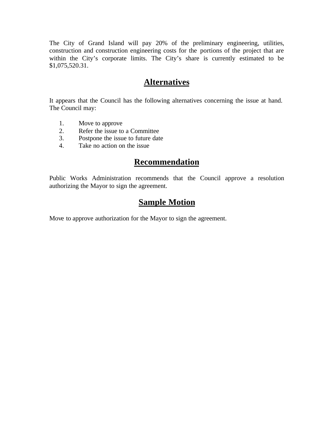The City of Grand Island will pay 20% of the preliminary engineering, utilities, construction and construction engineering costs for the portions of the project that are within the City's corporate limits. The City's share is currently estimated to be \$1,075,520.31.

### **Alternatives**

It appears that the Council has the following alternatives concerning the issue at hand. The Council may:

- 1. Move to approve
- 2. Refer the issue to a Committee
- 3. Postpone the issue to future date
- 4. Take no action on the issue

### **Recommendation**

Public Works Administration recommends that the Council approve a resolution authorizing the Mayor to sign the agreement.

### **Sample Motion**

Move to approve authorization for the Mayor to sign the agreement.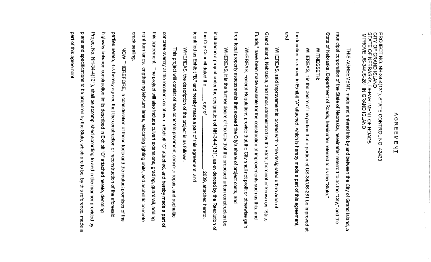### ⊵ jΩ  $\overline{v}$ ļΜ  $\overline{\mathsf{m}}$ INFINI

PROJECT NO. NH-34-4(131), STATE CONTROL NO.<br>CITY OF GRAND ISLAND<br>STATE OF NEBRASKA, DEPARTMENT OF ROADS<br>IMPROVE US-34/US-281 IN GRAND ISLAND 42433

State municipal corporation of the State of Nebraska, hereinafter referred to as the "City," and the of Nebraska, Department of Roads, hereinafter referred to as the "State THIS AGREEMENT, made and entered into by and between the City of Grand Island, ω

**NITNESSETH:** 

and the location as shown in Exhibit "A" attached, which is hereby made a part of this agreement WHEREAS, it is the desire of the parties that a portion of US-34/US-281 be improved লঁ

Funds," have been made available for the construction of improvements such as this, and Grand Island, Nebraska, and funds administered by the State, hereinafter known as WHEREAS, said improvement is located within the designated urban area  $\overline{a}$ 

**from** local property assessments that exceed the City's share of project costs, and WHEREAS, Federal Regulations provide that the City shall not profit or otherwise gain

the City Council dated the included in a project under the designation of NH-34-4(131), as evidenced by the Resolution of identified as Exhibit "B," and hereby made a part of this agreement, and WHEREAS, it is the further desire of the City that the proposed urban construction be day of 2009, attached hereto

WHEREAS, the description of the project is as follows:

crack sealing right-turn lanes, this agreement. concrete overlay at the locations as shown in Exhibit "C" attached, and hereby made a part This project will consist of new concrete pavement, concrete repair, and asphaltic lengthening left-turn lanes, relocating lighting units, and asphaltic concrete The project will also include culvert extensions, grading, guardrail, adding đ,

part of this agreement plans and specifications to be prepared by the State, which are to be, by this reference, made Project No. NH-34-4(131), shall be accomplished according to and in the highway between construction limits described in Exhibit "C" attached hereto, denoting parties hereto, it is hereby agreed that the construction or reconstruction of the aforesaid NOW THEREFORE, in consideration of these facts and the mutual promises of the manner provided g

 $\boldsymbol{\omega}$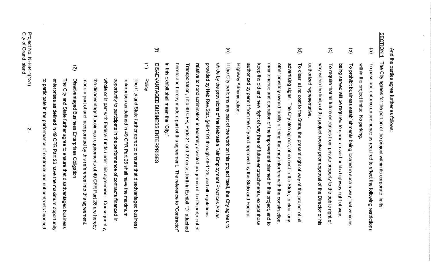| Ξ<br>$\widehat{\mathcal{C}}$                                                                                                                                                                                                                                                                                                                                                                                                                                                                                                                                                                                                                                                                                                                                                                             | Э<br>in this                                                                                                                                                                                                                                                                                                                                                                                                                                                                                | $\circledcirc$<br>keep the                                                                                                                                                                                                                                                                                                                                                                                                                                                                                                                | $\widehat{\odot}$<br>$\widehat{\mathsf{e}}$<br>To clear,                                                                                                                                                                                                                                                                                                                                       | SECTION <sub>1</sub><br>$\widehat{\mathfrak{S}}$<br>$\circlede$                                                                                                                                                                                                                                                         |
|----------------------------------------------------------------------------------------------------------------------------------------------------------------------------------------------------------------------------------------------------------------------------------------------------------------------------------------------------------------------------------------------------------------------------------------------------------------------------------------------------------------------------------------------------------------------------------------------------------------------------------------------------------------------------------------------------------------------------------------------------------------------------------------------------------|---------------------------------------------------------------------------------------------------------------------------------------------------------------------------------------------------------------------------------------------------------------------------------------------------------------------------------------------------------------------------------------------------------------------------------------------------------------------------------------------|-------------------------------------------------------------------------------------------------------------------------------------------------------------------------------------------------------------------------------------------------------------------------------------------------------------------------------------------------------------------------------------------------------------------------------------------------------------------------------------------------------------------------------------------|------------------------------------------------------------------------------------------------------------------------------------------------------------------------------------------------------------------------------------------------------------------------------------------------------------------------------------------------------------------------------------------------|-------------------------------------------------------------------------------------------------------------------------------------------------------------------------------------------------------------------------------------------------------------------------------------------------------------------------|
| enterprises<br>the disadvantaged business requirements of 49 CFR Part 26 are hereby<br>to participate<br>Disadvantaged Business Enterprises Obligation<br>made a part of and incorporated by this reference into this agreement.<br>whole or in part with Federal funds under this agreement. Consequently,<br>opportunity to participate in the performance of contracts financed<br>enterprises as defined in 49 CFR Part 26 shall have the maximum<br><b>Policy</b><br><b>The</b><br>The City and State further agree<br>City and State further agree to ensure that disadvantaged business<br>as defined in 49 CFR Part 26 have the maximum opportunity<br>Ξ.<br>the<br>performance<br>to ensure that disadvantaged business<br>$\overline{\mathbf{a}}$<br>contracts<br>and<br>suppontracts financed | hereto and hereby made a part of this agreement.<br>relative to nondiscrimination in federally assisted programs of the Department of<br>provided by Neb.Rev.Stat. §48-1101 through 48-1126, and all regulations<br>abide by the provisions of the Nebraska Fair Employment Practices Act as<br>DISADVANTAGED BUSINESS ENTERPRISES<br>Transportation, Title 49 CFR, Parts 21 and 27 as set forth in Exhibit "D" attached<br>expicit shall mean the "City."<br>The reference to "Contractor" | authorized by permit from the City and approved by the State and Federal<br>other privately owned facility or thing that may interfere with the construction,<br>If the City performs any part of the work on this project itself, the City agrees<br>Highway Administration<br>maintenance and operation of the improvement planned in this project, and to<br>advertising<br>old and new right of way free of future encroachments, except those<br>signs.<br>The City also agrees, at no<br>cost to the<br>State,<br>to clear any<br>ಕ | authorized representative<br>way within the limits of this project receive prior approval of the Director or his<br>being served will be required to stand on said public highway right of way<br>To require that all future entrances from private property to the public right of<br>at no cost to the State,<br>the present right of way of this<br>project<br>$\mathbf{Q}_\mathrm{t}$<br>≝ | And the parties agree further as follows:<br>The Oity agrees for the popiect within its corporate limits<br>within the project limits: No parking<br>To prohibit business establishments being located in such a way that vehicles<br>To pass and enforce an ordinance as required to effect the following restrictions |

 $\mathcal{A}^{\mathcal{A}}$ 

 $\mathbf{v}^{\mathrm{in}}$ 

 $\mathcal{A}^{\mathcal{A}}$ 

 $\sim$ 

 $\bar{z}$ 

Project No. NH-34-4(131)<br>City of Grand Island

 $\sim 10^6$ 

 $\frac{1}{N}$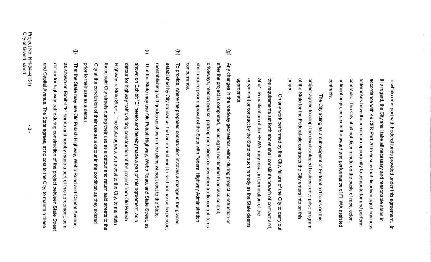enterprises have the maximum opportunity to compete for and perform contracts national origin, or sex in the award and performance of FHWA assisted contracts. accordance with 49 CFR Part 26 to ensure that disadvantaged business this regard, the City shall take all necessary and reasonable steps in in whole or in part with Federal funds provided under this agreement. The City shall not discriminate on the basis of race, color,  $\equiv$ 

project of the State for the Federal-aid contracts the City enters into on this project agrees to adopt the disadvantaged business enterprise program The City acting as a subrecipient of Federal-aid funds on this

appropriate agreement or contract by the State or such remedy as the State deems after the notification of the FHWA, may result in termination of the the requirements set forth above shall constitute breach of contract and On any work performed by the City, failure of the City to carry out

- $\widehat{\mathbf{e}}$ concurrence shall require prior approval of the State with Federal Highway Administration driveways, median breaks, parking restrictions or any other traffic control items after the project is completed, including but not limited to access control Any changes in the roadway geometrics, either during project construction or
- $\widehat{\Xi}$ reestablishing said grades as shown in the plans without cost to the State established by City ordinance, that an amendment to said ordinance be passed, To provide, where the proposed construction involves a change in the grades
- $\oplus$ Highway to State Street. The State agrees, at no cost to the City, to maintain prior to their use as a detour. City at the condition as the search in the condition as they existed these said City streets during their use as a detour and return said streets to the detour for highway traffic during construction of the project from Old Potash shown on Exhibit "E" hereto and hereby made a part of this agreement, as a That the State may use Old Potash Highway, Webb Road, and State Street, 8
- $\oplus$ as shown on Exhibit "F" hereto and hereby made a part of this agreement, as a and Capital Avenue. The State agrees, at no cost to the City, to maintain these detour for highway traffic during construction of the project between State Street That the State may use Old Potash Highway, Webb Road and Capital Avenue,

 $\omega$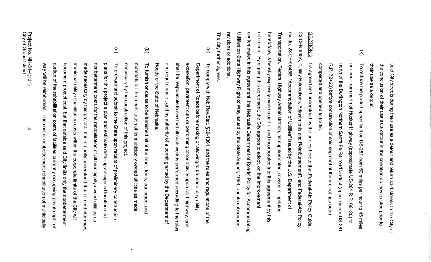their use as a detour. the conclusion of their use as a detour in the condition as they existed prior to said City streets during their use as a detour and return said streets to the City  $\overline{a}$ 

 $\widehat{\mathcal{Z}}$ R.P. 72+20) before construction of said segment of the project has been north of the Burlington Northern Santa Fe Railroad viaduct (approximate US-281 per hour from north of Husker Highway (approximate US-281 completed and opened to traffic To reduce the posted speed limit on US-281 from 50 miles per hour to 45 miles Р.<br>Р  $68 + 20$ ) to

Utilities on State Highway Right of Way issued by the State August, 1998, and its subsequent reference. heretofore, is hereby expressly made a part of and incorporated into this agreement by this contemplated in this agreement, the Nebraska Department of Roads' Policy for Accommodating Transportation, Federal Highway Administration, as supplemented, revised or updated Guide, 23 CFR 645B, "Accommodation of Utilities" issued by the U.S. Department of 23 CFR 645A, "Utility Relocations, Adjustments and Reimbursement", and Federal-Aid Policy SECTION<sub>2</sub> revisions or additions By signing this agreement, the City agrees to adopt, on the improvement It is agreed and understood by the parties hereto that Federal-Aid Policy Guide,

**The** City further agrees

- $\binom{6}{2}$ and regulations of, and by authority of a permit granted by the Department of shall be responsible to see that all such work is performed according to the rules Roads of the State of Nebraska excavation, pavement cuts or performing other activity upon said highway, and Department of Roads before making or allowing to be made, any utility To comply with Neb.Rev.Stat. §39-1361, and the rules and regulations of Ηe
- $\widehat{\Xi}$ necessary by the construction of this project. materials for the rehabilitation of its municipally owned utilities as made To furnish or cause to be furnished all of the labor, tools, equipment and
- $\widehat{c}$ portion of the rehabilitation costs of facilities currently occupying private right of become a project cost, but that outside said City limits only the nonbetterment municipal utility rehabilitation costs within the corporate limits of the City will made necessary by this project. It is mutually understood that all nonbetterment way will be reimbursed. The cost of nonbetterment rehabilitation of municipally nonbetterment costs for the rehabilitation of all municipally owned utilities as plans for this project a plan and estimate detailing anticipated location and To prepare and submit to the State upon receipt of preliminary construction

 $\frac{4}{1}$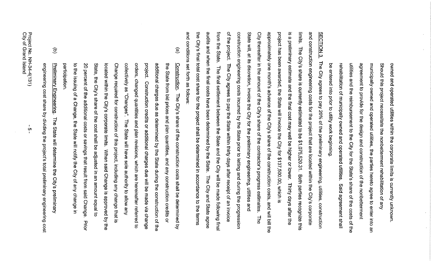be entered into prior to utility work beginning utilities and the reimbursement to the City for the State's share of the costs of the rehabilitation of municipally owned and operated utilities. agreement to provide for the design and construction of the nonbetterment municipally owned and operated utilities, the parties hereto agree to enter into Should this project necessitate the nonbetterment rehabilitation of any owned and operated utilities within the corporate limits is currently unknown Said agreement shall Ψū

limits. and conditions set forth as follows: the City's final total cost share for the project shall be determined in accordance to the terms audits and when the final costs have been determined by the State. The City and State agree from the State. of the project. The City agrees to pay the State within thirty days after receipt of an invoice construction engineering costs incurred by the State prior to letting and during the progression State will, at its discretion, invoice the City for the preliminary engineering, utilities and City thereafter in the amount of the City's share of the contractor's progress estimates. approximately one month's advance of the City's share of the construction costs, and will bill the project has been awarded, the State will invoice the City for \$137,500.00, which is is a preliminary estimate and the final cost may well be higher or lower. Thirty days after the and construction engineering costs for the project that are located within the City's corporate SECTION<sub>3</sub> The City's share is currently estimated to be \$1,075,520.31. Borties recognize this The City agrees to pay 20% of the preliminary engineering, utilities, construction The final settlement between the State and the City will be made following final **The** 

- $\widehat{e}$ participation to the issuing of a Change, the State will notify the City of any change 20 percent of the additional costs or savings that result from said Change. State, the City's share of the cost shall be adjusted in an amount equal to located within the City's corporate limits. When said Change is approved by the Change required for construction of this project, including any change that is collectively as "Changes". orders, changed quantities and plan revisions, which are hereinafter referred to project. Construction credits or additional charges due will be made via change additional charges due as determined by the State during the construction of the the State from bid prices and plan quantities, and any construction credits Construction. The City's share of the construction costs shall be determined The State will have sole authority to allow any  $\tilde{\mathcal{C}}$ Prior ट्
- $\widehat{\Xi}$ Preliminary Engineering. The State will determine the City's preliminary engineering cost share by dividing the project's total preliminary engineering cost

<u>ර</u>ා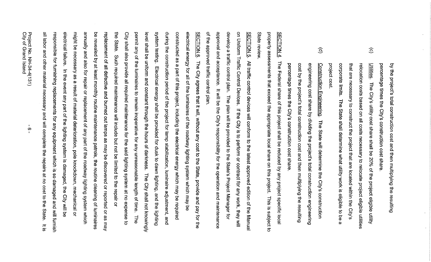percentage times the City's construction cost share by the project's total construction cost and then multiplying the resulting

- $\widehat{\odot}$ project cost corporate limits. that are necessary to construct the project that are located within the City's relocation costs based on all costs necessary to relocate project eligible utilities <u>Utilities</u>. The City's utility cost share shall be 20% of the project eligible utility The State shall determine what utility work is eligible to be a
- $\widehat{\mathbf{e}}$ engineering cost share by dividing the project's total construction engineering percentage times the City's construction cost share. cost by the project's total construction cost and then multiplying the resulting Construction Engineering. The State will determine the City's construction

State review property assessments that exceed the appropriate local share on this project. This is subject to **SECTION 4.** The Federal share of this project shall be reduced by any project specific local

of the approved traffic control plan approval and acceptance. It will be the City's responsibility for the operation and maintenance develop a traffic control plan. The plan will be provided to the State's Project Manager for on Uniform Traffic Control Devices. If the City is to perform or contract for any work, they will SECTION 5. All traffic control devices will conform to the latest approved edition of the Manual

might be necessary as a result of material deterioration, pole knockdown, mechanical or annually and also for repair or replacement of any part of the roadway lighting system which be revealed by at least monthly routine maintenance patrols, the routine cleaning of luminaires replacement of all defective and burned out lamps as may be discovered or reported or as may the State. City shall also provide all required maintenance for the said lighting system at no expense to permit any of the luminaires to remain inoperative for any unreasonable length of time. The level shall be uniform and constant through the hours of darkness. system testing. Electrical energy shall be provided for dusk to dawn lighting, and the lighting during the construction period of the project for lamp stabilization, luminaire adjustment, and constructed as a part of this project, including the electrical energy which may be required electrical energy for all of the luminaires of the roadway lighting system which may be **SECTION 6.** all labor and other material necessary and will complete the repairs at no cost to the State. responsible for furnishing replacements for any equipment which is so damaged and will furnish electrical failure. Such required maintenance will include but not be limited to the repair or The City agrees that it will, without any cost to the State, provide and pay for the In the event any part of the lighting system is damaged, the City will be The City shall not knowingly  $\frac{1}{\overline{2}}$ 

 $\sigma$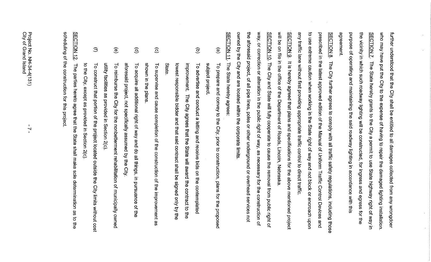the vicinity in which such roadway lighting will be constructed, for ingress and egress for the who may have put the City to the expense of having to repair the damaged lighting installation. purpose of operating and maintaining the said roadway lighting in accordance with this agreement. **SECTION 7.** further understood that the City shall be entitled to all damages collected from any wrongdoer The State hereby grants to the City a permit to use State highway right of way in

to use extreme caution when working in the State right of way and not block or encroach upon any traffic lane without first providing appropriate traffic control to direct traffic prescribed in the latest approved edition of the Manual of Uniform Traffic Control Devices and SECTION 8. The City further agrees to comply with all traffic safety regulations, including those

will be on file in the office of the Department of Roads, Lincoin, Nebraska SECTION 9. It is hereby agreed that plans and specifications for the above mentioned project

owned by the City and are located within the corporate limits the aforesaid project, of all pipe lines, poles or other underground or overhead services not way, or correction or alteration in the public right of way, as necessary for the construction of SECTION 10. The City and State will fully cooperate to cause the removal from public right of

**SECTION 11** The State hereby agrees:

- $\mathbf{e}$ subject project To prepare and convey to the City, prior to construction, plans for the proposed
- $\widehat{\Xi}$ State lowest responsible bidder and that said contract shall be signed only by the improvement. The City agrees that the State will award the contract to the To advertise and conduct a letting and receive bids on the contemplated
- $\widehat{c}$ shown in the plans To supervise and cause completion of the construction of the improvement as
- $\widehat{e}$ aforesaid project, not specifically assumed by the City. To acquire all additional right of way and do all things, in pursuance of the
- $\widehat{\mathbf{C}}$ utility facilities as provided in Section 2(c). To reimburse the City for the nonbetterment rehabilitation of municipally owned
- $\bigoplus$ to the City, except as provided in Section 2(c). To construct that portion of the project located outside the City limits without cost

scheduling of the construction for this project **SECTION 12** The parties hereto agree that the State shall make sole determination as  $\vec{c}$ 당.<br>이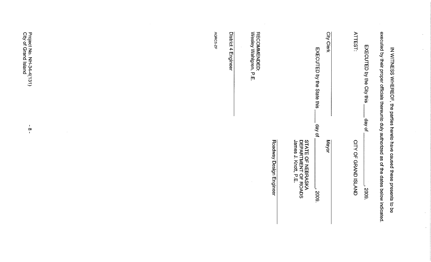| executed by their proper officials thereunto duly authorized as of the dates below indicated.<br>IN WITNESS WHEREOF, the parties hereto have caused these presents to be |
|--------------------------------------------------------------------------------------------------------------------------------------------------------------------------|
| day of<br>5008                                                                                                                                                           |
| CITY OF GRAND ISLAND                                                                                                                                                     |
| jo vab.<br>Mayor<br>2009.                                                                                                                                                |
| STATE OF NEBRASKA<br>DEPARTMENT OF ROADS<br>James J. Knott, P.E.                                                                                                         |
| Roadway Design Engineer                                                                                                                                                  |
| $\sim$                                                                                                                                                                   |
|                                                                                                                                                                          |
|                                                                                                                                                                          |
|                                                                                                                                                                          |
|                                                                                                                                                                          |

 $\sim 10^6$ 

 $\hat{\mathcal{A}}$ 

 $\hat{\mathbf{z}}$ 

 $\sim$ 

 $\sim$ 

 $\epsilon$ 

 $\sim 10$ 

Project No. NH-34-4(131)<br>City of Grand Island

 $\frac{1}{8}$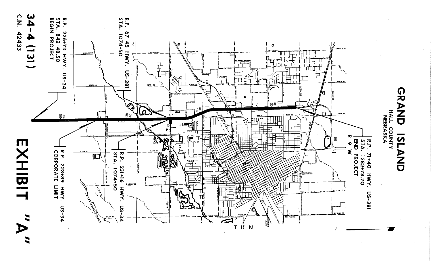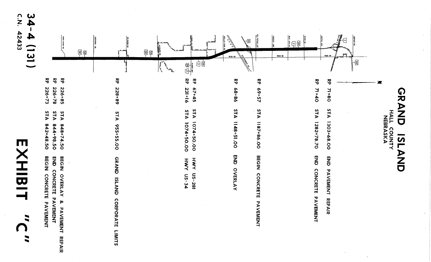| T<br>i<br>Lihat          |
|--------------------------|
|                          |
| Ū<br>٣                   |
| $\overline{\phantom{0}}$ |
|                          |
| ſ                        |

C.N. 34 42433  $\blacktriangle$  $(151)$ 



**GRAND 7ST** とこの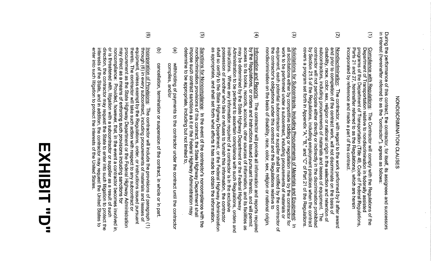# NONDISCRIMINATION CLAUSES

in interest (hereinafter referred to as the "contractor"), agrees as follows During the performance of this contract, the contractor, for itself, its assignees and successors

- $\widehat{\Xi}$ Department of Transportation relative to nondiscrimination in federally assisted<br>programs of the Department of Transportation (Title 49, Code of Federal Regulations,<br>Parts 21 and 27, hereinafter referred to as the Regulati incorporated by reference and made a part of this contract Compliance with Regulations: The Contractor will comply with the Regulations of the
- $\widetilde{\mathcal{S}}$ contractor will not participate either directly or indirectly in the discrimination prohibited<br>by Section 21.5 of the Regulations, including employment practices when the contract<br>covers a program set forth in Appendix "A subcontractors, including procurements of materials and leases of equipment. disability, race, color, sex, religion or national origin in the selection and retention o and prior to completion of the contract work, will not discriminate on the basis of Nondiscrimination: The contractor, with regard to the work performed by it after award au<br>a
- $\widehat{\omega}$ the contractor's obligations under this contract and the Regulations relative to<br>nondiscrimination on the basis of disability, race, color, sex, religion or national origin. equipment. work to be performed under a subcontract, including procurements of materials or all solicitations either by competitive bidding or negotiation made by the contractor for Solicitations for Subcontracts, Including Procurements of Materials and Equipment: In each potential subcontractor or supplier shall be notified by the contractor of
- $\widehat{\mathbf{f}}$ possession of another who fails or refuses to furnish this information, the contractor<br>shall so certify to the State Highway Department, or the Federal Highway Administration<br>as appropriate, and shall set forth what effort instructions. Administration to be pertinent to ascertain compliance with such Regulations, orders and may be determined by the State Highway Department or the Federal Highway access to its books, records, by the Regulations, or orders and instructions issued pursuant thereto, and will permit <u>Information</u> and Reports: Where any information required of a contractor is in the exclusive The contractor will provide all information and reports required accounts, other sources of information, and its facilities as
- $\widehat{\mathcal{Q}}$ determine to be appropriate, including but not limited to, nondiscrimination provisions of this contract, the State Highway Department shall<br>impose such contract sanctions as it or the Federal Highway Administration may Sanctions for Noncompliance: In the event of the contractor's noncompliance with the
- $\widehat{e}$ withholding of payments to the contractor under the contract until the contractor<br>complies, and/or complies,
- $\widehat{\Xi}$ cancellation, termination or suspension of the contract, in whole or in part
- $\widehat{\odot}$ uncurun, ure contractor may request the State to enter into such litigation to protect the interests of the State, and in addition, the contractor may request the United States to procurement as the State Highway Department or the Federal Highway Administration<br>may direct as a means of enforcing such provisions including sanctions for<br>noncompliance: Provided, however, that, in the event a contractor enter into such litigation to protect the interests of the United States or is threatened with, litigation with a subcontractor or supplier as a result of such thereto. The contractor will take such action with respect to any subcontract or equipment, unless exempt by the Regulations, order, or instructions issued pursuant through (6) in every subcontract, including procurements of materials and leases of Incorporation of Provisions: The contractor will include the provisions of paragraph (1)

# EXHIBIT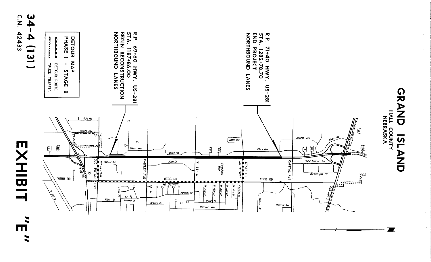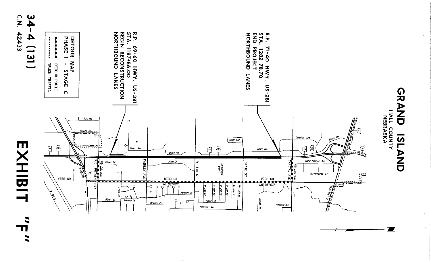

П I

 $\blacksquare$